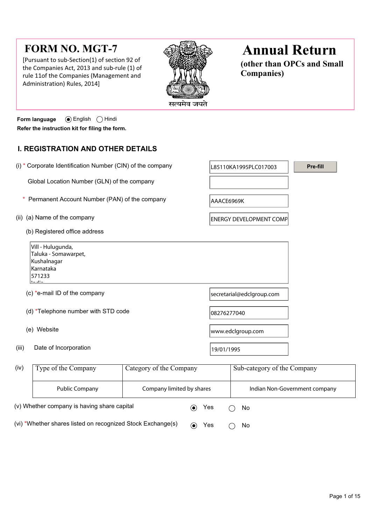# **FORM NO. MGT-7**

[Pursuant to sub-Section(1) of section 92 of the Companies Act, 2013 and sub-rule (1) of rule 11of the Companies (Management and Administration) Rules, 2014]



# **Annual Return**

**(other than OPCs and Small Companies)**

**Form language •** English **C** Hindi **Refer the instruction kit for filing the form.**

# **I. REGISTRATION AND OTHER DETAILS**

|                                               | (i) * Corporate Identification Number (CIN) of the company                                    |                         |             | L85110KA1995PLC017003          | Pre-fill |  |  |
|-----------------------------------------------|-----------------------------------------------------------------------------------------------|-------------------------|-------------|--------------------------------|----------|--|--|
|                                               | Global Location Number (GLN) of the company                                                   |                         |             |                                |          |  |  |
| Permanent Account Number (PAN) of the company |                                                                                               |                         |             | AAACE6969K                     |          |  |  |
| (ii) (a) Name of the company                  |                                                                                               |                         |             | <b>ENERGY DEVELOPMENT COMP</b> |          |  |  |
|                                               | (b) Registered office address                                                                 |                         |             |                                |          |  |  |
|                                               | Vill - Hulugunda,<br>Taluka - Somawarpet,<br>Kushalnagar<br>Karnataka<br>571233<br>مثالم لمرا |                         |             |                                |          |  |  |
|                                               | (c) *e-mail ID of the company                                                                 |                         |             | secretarial@edclgroup.com      |          |  |  |
| (d) *Telephone number with STD code           |                                                                                               |                         | 08276277040 |                                |          |  |  |
|                                               | (e) Website                                                                                   |                         |             | www.edclgroup.com              |          |  |  |
| (iii)                                         | Date of Incorporation                                                                         |                         | 19/01/1995  |                                |          |  |  |
| (iv)                                          | Type of the Company                                                                           | Category of the Company |             | Sub-category of the Company    |          |  |  |

| (iv)                                                        | Type of the Company   | Category of the Company   |            | Sub-category of the Company |                               |
|-------------------------------------------------------------|-----------------------|---------------------------|------------|-----------------------------|-------------------------------|
|                                                             | <b>Public Company</b> | Company limited by shares |            |                             | Indian Non-Government company |
| (v) Whether company is having share capital                 |                       |                           | Yes        |                             | No.                           |
| (vi) *Whether shares listed on recognized Stock Exchange(s) |                       |                           | Yes<br>(●) |                             | No                            |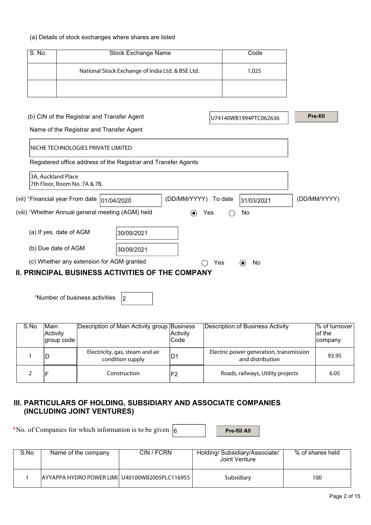#### (a) Details of stock exchanges where shares are listed

| S. No. | Stock Exchange Name                              | Code  |
|--------|--------------------------------------------------|-------|
|        | National Stock Exchange of India Ltd. & BSE Ltd. | 1,025 |
|        |                                                  |       |

| (b) CIN of the Registrar and Transfer Agent             |                                                                |                      |     | U74140WB1994PTC062636 | <b>Pre-fill</b> |  |  |
|---------------------------------------------------------|----------------------------------------------------------------|----------------------|-----|-----------------------|-----------------|--|--|
| Name of the Registrar and Transfer Agent                |                                                                |                      |     |                       |                 |  |  |
| INICHE TECHNOLOGIES PRIVATE LIMITED                     |                                                                |                      |     |                       |                 |  |  |
|                                                         | Registered office address of the Registrar and Transfer Agents |                      |     |                       |                 |  |  |
| 3A, Auckland Place<br>7th Floor, Room No. 7A & 7B,      |                                                                |                      |     |                       |                 |  |  |
| (vii) *Financial year From date  01/04/2020             |                                                                | (DD/MM/YYYY) To date |     | 31/03/2021            | (DD/MM/YYYY)    |  |  |
| (viii) *Whether Annual general meeting (AGM) held       |                                                                | $(\bullet)$          | Yes | No.                   |                 |  |  |
| (a) If yes, date of AGM                                 | 30/09/2021                                                     |                      |     |                       |                 |  |  |
| (b) Due date of AGM                                     | 30/09/2021                                                     |                      |     |                       |                 |  |  |
| (c) Whether any extension for AGM granted               |                                                                |                      | Yes | No<br>$(\bullet)$     |                 |  |  |
| <b>II. PRINCIPAL BUSINESS ACTIVITIES OF THE COMPANY</b> |                                                                |                      |     |                       |                 |  |  |

\*Number of business activities  $\vert_2$ 

| S.No | <b>Main</b><br>Activity<br>group code | Description of Main Activity group Business         | Activity<br> Code | Description of Business Activity                            | $%$ of turnover<br>of the<br>company |
|------|---------------------------------------|-----------------------------------------------------|-------------------|-------------------------------------------------------------|--------------------------------------|
|      |                                       | Electricity, gas, steam and air<br>condition supply | ıD1               | Electric power generation, transmission<br>and distribution | 93.95                                |
|      |                                       | Construction                                        | 'F2               | Roads, railways, Utility projects                           | 6.05                                 |

## **III. PARTICULARS OF HOLDING, SUBSIDIARY AND ASSOCIATE COMPANIES (INCLUDING JOINT VENTURES)**

\*No. of Companies for which information is to be given  $\boxed{6}$  **Pre-fill All** 

| S.No | Name of the company                            | CIN / FCRN | Holding/ Subsidiary/Associate/<br>Joint Venture | % of shares held |
|------|------------------------------------------------|------------|-------------------------------------------------|------------------|
|      | AYYAPPA HYDRO POWER LIMI U40100WB2005PLC116955 |            | Subsidiary                                      | 100              |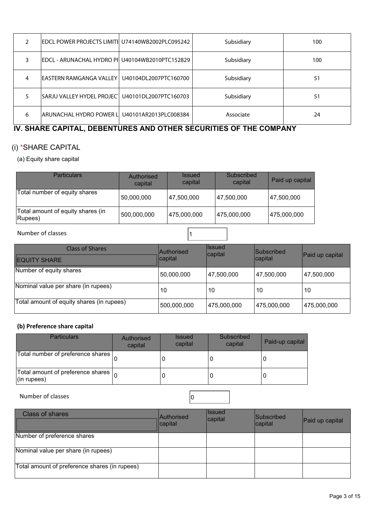|   | EDCL POWER PROJECTS LIMITIL U74140WB2002PLC095242 |                       | Subsidiary | 100 |
|---|---------------------------------------------------|-----------------------|------------|-----|
|   | EDCL - ARUNACHAL HYDRO PII U40104WB2010PTC152829  |                       | Subsidiary | 100 |
| 4 | IEASTERN RAMGANGA VALLEY I                        | U40104DL2007PTC160700 | Subsidiary | 51  |
|   | SARJU VALLEY HYDEL PROJEC'                        | U40101DL2007PTC160703 | Subsidiary | 51  |
| 6 | ARUNACHAL HYDRO POWER LI                          | U40101AR2013PLC008384 | Associate  | 24  |

# **IV. SHARE CAPITAL, DEBENTURES AND OTHER SECURITIES OF THE COMPANY**

# (i) \*SHARE CAPITAL

## (a) Equity share capital

| <b>Particulars</b>                           | Authorised<br>capital | <i><b>Issued</b></i><br>capital | Subscribed<br>capital | Paid up capital |
|----------------------------------------------|-----------------------|---------------------------------|-----------------------|-----------------|
| Total number of equity shares                | 50,000,000            | 47,500,000                      | 47,500,000            | 47,500,000      |
| Total amount of equity shares (in<br>Rupees) | 500,000,000           | 475,000,000                     | 475,000,000           | 475,000,000     |

## Number of classes 11

| <b>Class of Shares</b><br><b>EQUITY SHARE</b> | <b>Authorised</b><br>capital | llssued<br>capital | <b>Subscribed</b><br>capital | Paid up capital |
|-----------------------------------------------|------------------------------|--------------------|------------------------------|-----------------|
| Number of equity shares                       | 50,000,000                   | 47,500,000         | 47,500,000                   | 47,500,000      |
| Nominal value per share (in rupees)           | 10                           | 10                 | 10                           | 10              |
| Total amount of equity shares (in rupees)     | 500,000,000                  | 475,000,000        | 475,000,000                  | 475,000,000     |

#### **(b) Preference share capital**

| <b>Particulars</b>                                                      | Authorised<br>capital | <b>Issued</b><br>capital | Subscribed<br>capital | Paid-up capital |
|-------------------------------------------------------------------------|-----------------------|--------------------------|-----------------------|-----------------|
| Total number of preference shares                                       |                       |                          | U                     |                 |
| Total amount of preference shares $\vert_{\Omega}$<br>$($ in rupees $)$ |                       |                          | U                     |                 |

Number of classes  $\vert$  0

Class of shares **Authorised** Authorised capital Issued<br>capital Subscribed<br>capital Paid up capital Number of preference shares Nominal value per share (in rupees) Total amount of preference shares (in rupees)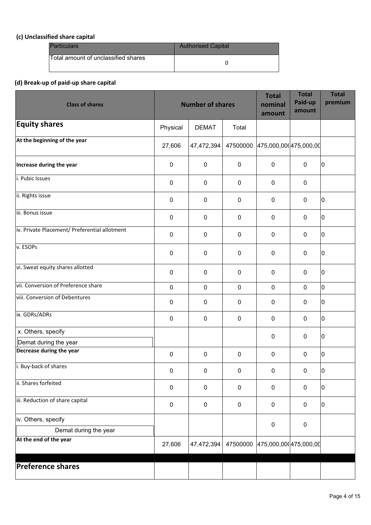## **(c) Unclassified share capital**

| <b>Particulars</b>                  | <b>Authorised Capital</b> |
|-------------------------------------|---------------------------|
| Total amount of unclassified shares |                           |

## **(d) Break-up of paid-up share capital**

| <b>Class of shares</b>                        |           | <b>Number of shares</b> |             | <b>Total</b><br>nominal<br>amount | <b>Total</b><br>Paid-up<br>amount | <b>Total</b><br>premium |
|-----------------------------------------------|-----------|-------------------------|-------------|-----------------------------------|-----------------------------------|-------------------------|
| <b>Equity shares</b>                          | Physical  | <b>DEMAT</b>            | Total       |                                   |                                   |                         |
| At the beginning of the year                  | 27,606    | 47,472,394              |             | 47500000 475,000,000 475,000,00   |                                   |                         |
| Increase during the year                      | 0         | $\mathbf 0$             | $\pmb{0}$   | $\pmb{0}$                         | $\pmb{0}$                         | 10                      |
| i. Pubic Issues                               | $\pmb{0}$ | $\mathbf 0$             | $\mathbf 0$ | $\pmb{0}$                         | $\mathbf 0$                       |                         |
| ii. Rights issue                              | $\pmb{0}$ | $\mathbf 0$             | $\mathbf 0$ | $\mathbf 0$                       | $\boldsymbol{0}$                  | lo.                     |
| iii. Bonus issue                              | 0         | $\mathbf 0$             | $\pmb{0}$   | $\mathbf 0$                       | $\mathbf 0$                       | 10                      |
| iv. Private Placement/ Preferential allotment | 0         | $\mathbf 0$             | $\mathbf 0$ | $\mathbf 0$                       | $\mathbf 0$                       | I٥                      |
| v. ESOPs                                      | $\pmb{0}$ | $\pmb{0}$               | $\pmb{0}$   | $\pmb{0}$                         | $\boldsymbol{0}$                  | O                       |
| vi. Sweat equity shares allotted              | $\pmb{0}$ | $\mathbf 0$             | $\mathbf 0$ | $\pmb{0}$                         | $\boldsymbol{0}$                  | I٥                      |
| vii. Conversion of Preference share           | $\pmb{0}$ | $\mathbf 0$             | $\mathbf 0$ | $\pmb{0}$                         | $\mathbf 0$                       | 0                       |
| viii. Conversion of Debentures                | 0         | $\pmb{0}$               | $\mathbf 0$ | $\mathbf 0$                       | $\mathbf 0$                       | 10                      |
| ix. GDRs/ADRs                                 | $\pmb{0}$ | $\mathbf 0$             | $\mathbf 0$ | $\pmb{0}$                         | $\mathbf 0$                       | I٥                      |
| x. Others, specify                            |           |                         |             | $\pmb{0}$                         | $\pmb{0}$                         | lo.                     |
| Demat during the year                         |           |                         |             |                                   |                                   |                         |
| Decrease during the year                      | $\pmb{0}$ | $\pmb{0}$               | $\mathbf 0$ | $\pmb{0}$                         | $\boldsymbol{0}$                  | I٥                      |
| i. Buy-back of shares                         | $\pmb{0}$ | $\boldsymbol{0}$        | $\pmb{0}$   | $\pmb{0}$                         | $\pmb{0}$                         | 10                      |
| ii. Shares forfeited                          | $\pmb{0}$ | $\mathbf 0$             | $\pmb{0}$   | $\mathbf 0$                       | $\pmb{0}$                         | 10                      |
| iii. Reduction of share capital               | 0         | $\pmb{0}$               | $\pmb{0}$   | $\pmb{0}$                         | $\pmb{0}$                         | l0                      |
| iv. Others, specify                           |           |                         |             | $\pmb{0}$                         | $\pmb{0}$                         |                         |
| Demat during the year                         |           |                         |             |                                   |                                   |                         |
| At the end of the year                        | 27,606    | 47,472,394              |             | 47500000 475,000,000 475,000,00   |                                   |                         |
| <b>Preference shares</b>                      |           |                         |             |                                   |                                   |                         |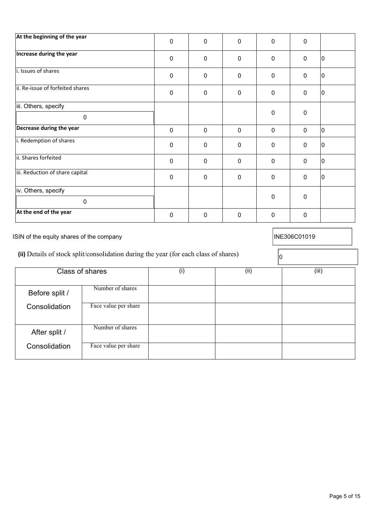| At the beginning of the year     | $\mathbf 0$ | $\mathbf{0}$ | $\mathbf{0}$ | $\mathbf{0}$ | 0           |    |
|----------------------------------|-------------|--------------|--------------|--------------|-------------|----|
| Increase during the year         | $\mathbf 0$ | 0            | $\mathbf 0$  | $\mathbf 0$  | $\mathbf 0$ | IО |
| i. Issues of shares              | $\mathbf 0$ | $\mathbf{0}$ | $\mathbf 0$  | $\Omega$     | $\mathbf 0$ | IО |
| ii. Re-issue of forfeited shares | $\pmb{0}$   | $\mathbf 0$  | $\mathbf 0$  | $\mathbf 0$  | $\mathbf 0$ | 10 |
| iii. Others, specify<br>0        |             |              |              | $\pmb{0}$    | $\pmb{0}$   |    |
| Decrease during the year         | $\mathbf 0$ | $\mathbf 0$  | $\mathbf 0$  | $\mathbf 0$  | $\mathbf 0$ | Iо |
| i. Redemption of shares          | $\mathbf 0$ | $\mathbf{0}$ | $\mathbf 0$  | $\mathbf 0$  | $\mathbf 0$ | 10 |
| ii. Shares forfeited             | $\mathbf 0$ | $\mathbf 0$  | $\mathbf 0$  | $\mathbf 0$  | $\mathbf 0$ | IО |
| iii. Reduction of share capital  | $\mathbf 0$ | $\mathbf{0}$ | $\mathbf 0$  | $\mathbf 0$  | $\mathbf 0$ | 10 |
| iv. Others, specify              |             |              |              | $\mathbf 0$  | $\mathbf 0$ |    |
| $\Omega$                         |             |              |              |              |             |    |
| At the end of the year           | 0           | 0            | 0            | 0            | $\mathbf 0$ |    |

After split / Number of shares

Consolidation

Consolidation

| (ii) Details of stock split/consolidation during the year (for each class of shares) |                  |  |      |       |
|--------------------------------------------------------------------------------------|------------------|--|------|-------|
|                                                                                      | Class of shares  |  | (ii) | (iii) |
| Before split /                                                                       | Number of shares |  |      |       |

Face value per share

Face value per share

| At the end of the year                                                               |  |  |              |
|--------------------------------------------------------------------------------------|--|--|--------------|
| ISIN of the equity shares of the company                                             |  |  | INE306C01019 |
| (ii) Details of stock split/consolidation during the year (for each class of shares) |  |  |              |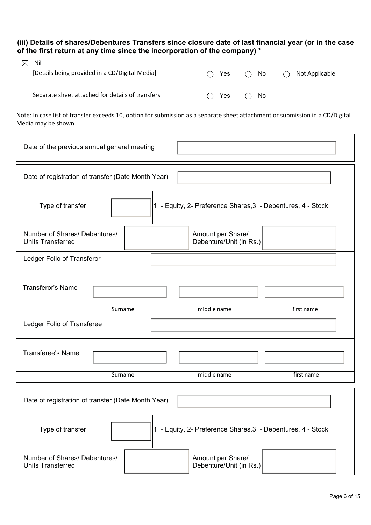**(iii) Details of shares/Debentures Transfers since closure date of last financial year (or in the case of the first return at any time since the incorporation of the company) \*** 

| $\boxtimes$ | Nil                                              |                     |              |                             |
|-------------|--------------------------------------------------|---------------------|--------------|-----------------------------|
|             | [Details being provided in a CD/Digital Media]   | $\bigcap$ Yes       | No<br>( )    | Not Applicable<br>$\bigcap$ |
|             |                                                  |                     |              |                             |
|             | Separate sheet attached for details of transfers | $\cdot$ $\cdot$ Yes | $\bigcap$ No |                             |

Note: In case list of transfer exceeds 10, option for submission as a separate sheet attachment or submission in a CD/Digital Media may be shown.

| Date of the previous annual general meeting                                                               |         |  |             |            |  |
|-----------------------------------------------------------------------------------------------------------|---------|--|-------------|------------|--|
| Date of registration of transfer (Date Month Year)                                                        |         |  |             |            |  |
| 1 - Equity, 2- Preference Shares, 3 - Debentures, 4 - Stock<br>Type of transfer                           |         |  |             |            |  |
| Amount per Share/<br>Number of Shares/ Debentures/<br>Debenture/Unit (in Rs.)<br><b>Units Transferred</b> |         |  |             |            |  |
| Ledger Folio of Transferor                                                                                |         |  |             |            |  |
| <b>Transferor's Name</b>                                                                                  |         |  |             |            |  |
|                                                                                                           | Surname |  | middle name | first name |  |
| Ledger Folio of Transferee                                                                                |         |  |             |            |  |
| <b>Transferee's Name</b>                                                                                  |         |  |             |            |  |
|                                                                                                           | Surname |  | middle name | first name |  |
| Date of registration of transfer (Date Month Year)                                                        |         |  |             |            |  |
| 1 - Equity, 2- Preference Shares, 3 - Debentures, 4 - Stock<br>Type of transfer                           |         |  |             |            |  |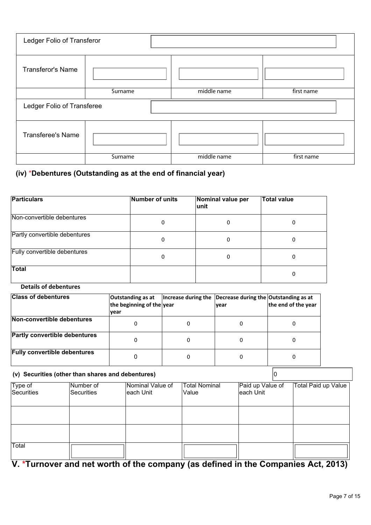| Ledger Folio of Transferor |         |             |            |  |
|----------------------------|---------|-------------|------------|--|
| <b>Transferor's Name</b>   |         |             |            |  |
|                            | Surname | middle name | first name |  |
| Ledger Folio of Transferee |         |             |            |  |
| <b>Transferee's Name</b>   |         |             |            |  |
|                            | Surname | middle name | first name |  |

## **(iv)** \***Debentures (Outstanding as at the end of financial year)**

| <b>Particulars</b>            | Number of units | Nominal value per<br>lunit | <b>Total value</b> |
|-------------------------------|-----------------|----------------------------|--------------------|
| Non-convertible debentures    | 0               | 0                          | 0                  |
| Partly convertible debentures | 0               | 0                          | 0                  |
| Fully convertible debentures  | 0               | 0                          | 0                  |
| <b>Total</b>                  |                 |                            | 0                  |

## **Details of debentures**

| <b>Class of debentures</b>           | Outstanding as at<br>the beginning of the year<br><b>vear</b> | Increase during the | Decrease during the Outstanding as at<br><i>vear</i> | the end of the year |
|--------------------------------------|---------------------------------------------------------------|---------------------|------------------------------------------------------|---------------------|
| Non-convertible debentures           |                                                               |                     |                                                      |                     |
| <b>Partly convertible debentures</b> |                                                               |                     |                                                      |                     |
| <b>Fully convertible debentures</b>  |                                                               |                     |                                                      |                     |

#### **(v) Securities (other than shares and debentures)** 0 Type of Securities Number of Securities Nominal Value of each Unit Total Nominal Value Paid up Value of each Unit Total Paid up Value Total

**V. \*Turnover and net worth of the company (as defined in the Companies Act, 2013)**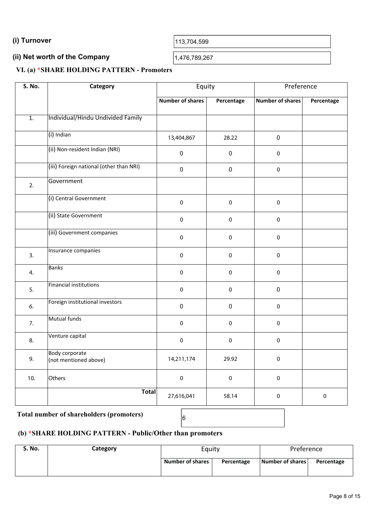**(i) Turnover**  113,704,599

#### **(ii) Net worth of the Company**  (ii) Net worth of the Company<br> $\frac{1,476,789,267}{2}$

#### **VI. (a) \*SHARE HOLDING PATTERN - Promoters**

| <b>S. No.</b>    | Category                                | Equity                  |            | Preference              |            |
|------------------|-----------------------------------------|-------------------------|------------|-------------------------|------------|
|                  |                                         | <b>Number of shares</b> | Percentage | <b>Number of shares</b> | Percentage |
| $\overline{1}$ . | Individual/Hindu Undivided Family       |                         |            |                         |            |
|                  | (i) Indian                              | 13,404,867              | 28.22      | $\pmb{0}$               |            |
|                  | (ii) Non-resident Indian (NRI)          | $\pmb{0}$               | $\pmb{0}$  | $\pmb{0}$               |            |
|                  | (iii) Foreign national (other than NRI) | $\pmb{0}$               | $\pmb{0}$  | $\pmb{0}$               |            |
| 2.               | Government                              |                         |            |                         |            |
|                  | (i) Central Government                  | $\pmb{0}$               | $\pmb{0}$  | $\pmb{0}$               |            |
|                  | (ii) State Government                   | $\pmb{0}$               | $\pmb{0}$  | $\pmb{0}$               |            |
|                  | (iii) Government companies              | $\mathbf 0$             | $\pmb{0}$  | $\mathbf 0$             |            |
| 3.               | Insurance companies                     | $\pmb{0}$               | $\pmb{0}$  | $\pmb{0}$               |            |
| 4.               | <b>Banks</b>                            | $\pmb{0}$               | $\pmb{0}$  | $\pmb{0}$               |            |
| 5.               | <b>Financial institutions</b>           | $\pmb{0}$               | $\pmb{0}$  | $\pmb{0}$               |            |
| 6.               | Foreign institutional investors         | $\pmb{0}$               | $\pmb{0}$  | $\pmb{0}$               |            |
| 7.               | Mutual funds                            | $\pmb{0}$               | $\pmb{0}$  | $\pmb{0}$               |            |
| 8.               | Venture capital                         | $\pmb{0}$               | $\pmb{0}$  | $\pmb{0}$               |            |
| 9.               | Body corporate<br>(not mentioned above) | 14,211,174              | 29.92      | $\mathbf{0}$            |            |
| 10.              | Others                                  | $\pmb{0}$               | $\pmb{0}$  | $\pmb{0}$               |            |
|                  | <b>Total</b>                            | 27,616,041              | 58.14      | $\pmb{0}$               | $\pmb{0}$  |

# **Total number of shareholders (promoters)** <sup>6</sup>

# **(b) \*SHARE HOLDING PATTERN - Public/Other than promoters**

| S. No. | Category | Equity                  |            | Preference       |            |  |
|--------|----------|-------------------------|------------|------------------|------------|--|
|        |          | <b>Number of shares</b> | Percentage | Number of shares | Percentage |  |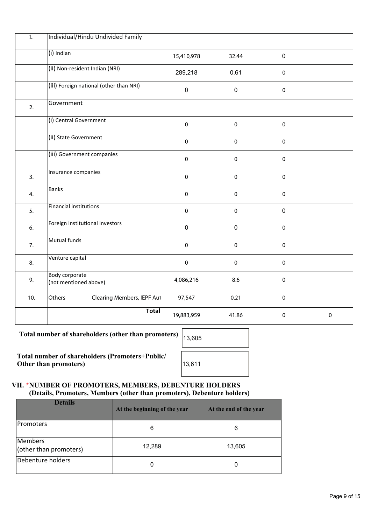| $\overline{1}$ . | Individual/Hindu Undivided Family       |            |             |             |             |
|------------------|-----------------------------------------|------------|-------------|-------------|-------------|
|                  | (i) Indian                              | 15,410,978 | 32.44       | $\pmb{0}$   |             |
|                  | (ii) Non-resident Indian (NRI)          | 289,218    | 0.61        | $\pmb{0}$   |             |
|                  | (iii) Foreign national (other than NRI) | $\pmb{0}$  | $\mathbf 0$ | $\pmb{0}$   |             |
| 2.               | Government                              |            |             |             |             |
|                  | (i) Central Government                  | $\pmb{0}$  | $\pmb{0}$   | $\pmb{0}$   |             |
|                  | (ii) State Government                   | $\pmb{0}$  | $\pmb{0}$   | $\pmb{0}$   |             |
|                  | (iii) Government companies              | $\pmb{0}$  | $\pmb{0}$   | $\pmb{0}$   |             |
| 3.               | Insurance companies                     | $\pmb{0}$  | $\pmb{0}$   | $\pmb{0}$   |             |
| 4.               | <b>Banks</b>                            | $\pmb{0}$  | $\pmb{0}$   | $\pmb{0}$   |             |
| 5.               | <b>Financial institutions</b>           | $\pmb{0}$  | $\pmb{0}$   | $\pmb{0}$   |             |
| 6.               | Foreign institutional investors         | $\pmb{0}$  | $\pmb{0}$   | $\pmb{0}$   |             |
| 7.               | Mutual funds                            | $\pmb{0}$  | $\mathbf 0$ | $\pmb{0}$   |             |
| 8.               | Venture capital                         | $\pmb{0}$  | $\pmb{0}$   | $\pmb{0}$   |             |
| 9.               | Body corporate<br>(not mentioned above) | 4,086,216  | 8.6         | $\pmb{0}$   |             |
| 10.              | Others<br>Clearing Members, IEPF Aut    | 97,547     | 0.21        | $\pmb{0}$   |             |
|                  | <b>Total</b>                            | 19,883,959 | 41.86       | $\mathbf 0$ | $\mathbf 0$ |

Total number of shareholders (other than promoters)

**Total number of shareholders (Promoters+Public/ Other than promoters)** 

| 13,605 |
|--------|
| 13,611 |

## **VII. \*NUMBER OF PROMOTERS, MEMBERS, DEBENTURE HOLDERS (Details, Promoters, Members (other than promoters), Debenture holders)**

| <b>Details</b>                    | At the beginning of the year | At the end of the year |
|-----------------------------------|------------------------------|------------------------|
| <b>IPromoters</b>                 | 6                            | 6                      |
| Members<br>(other than promoters) | 12,289                       | 13,605                 |
| Debenture holders                 | 0                            |                        |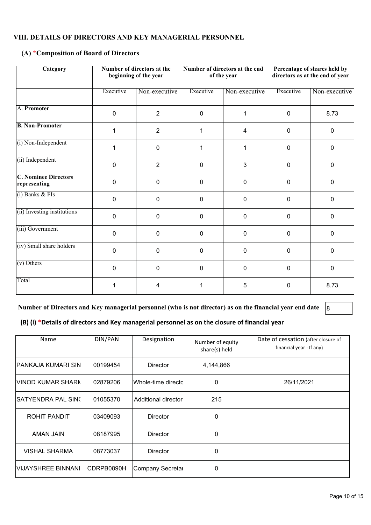#### **VIII. DETAILS OF DIRECTORS AND KEY MANAGERIAL PERSONNEL**

## **(A) \*Composition of Board of Directors**

| Category                                    |             | Number of directors at the<br>beginning of the year |             | Number of directors at the end<br>of the year | Percentage of shares held by<br>directors as at the end of year |               |
|---------------------------------------------|-------------|-----------------------------------------------------|-------------|-----------------------------------------------|-----------------------------------------------------------------|---------------|
|                                             | Executive   | Non-executive                                       | Executive   | Non-executive                                 | Executive                                                       | Non-executive |
| A. Promoter                                 | $\mathbf 0$ | $\overline{2}$                                      | $\Omega$    | 1                                             | $\pmb{0}$                                                       | 8.73          |
| <b>B. Non-Promoter</b>                      | 1           | $\overline{2}$                                      | 1           | 4                                             | $\mathbf 0$                                                     | $\mathbf 0$   |
| (i) Non-Independent                         | 1           | $\mathbf 0$                                         | 1           | 1                                             | 0                                                               | $\mathbf{0}$  |
| (ii) Independent                            | $\Omega$    | $\overline{2}$                                      | $\mathbf 0$ | 3                                             | 0                                                               | 0             |
| <b>C. Nominee Directors</b><br>representing | $\mathbf 0$ | $\pmb{0}$                                           | $\mathbf 0$ | 0                                             | 0                                                               | 0             |
| $(i)$ Banks & FIs                           | $\mathbf 0$ | $\mathbf 0$                                         | $\Omega$    | 0                                             | $\mathbf{0}$                                                    | 0             |
| (ii) Investing institutions                 | $\mathbf 0$ | $\mathbf 0$                                         | $\mathbf 0$ | 0                                             | $\pmb{0}$                                                       | 0             |
| (iii) Government                            | $\mathbf 0$ | $\mathbf 0$                                         | $\mathbf 0$ | 0                                             | $\Omega$                                                        | 0             |
| (iv) Small share holders                    | $\mathbf 0$ | $\mathbf 0$                                         | 0           | 0                                             | 0                                                               | 0             |
| $(v)$ Others                                | $\mathbf 0$ | $\pmb{0}$                                           | 0           | 0                                             | $\Omega$                                                        | 0             |
| Total                                       |             | 4                                                   |             | 5                                             | 0                                                               | 8.73          |

Number of Directors and Key managerial personnel (who is not director) as on the financial year end date 8

**(B) (i) \*Details of directors and Key managerial personnel as on the closure of financial year**

| Name                      | DIN/PAN    | Designation          | Number of equity<br>share(s) held | Date of cessation (after closure of<br>financial year : If any) |
|---------------------------|------------|----------------------|-----------------------------------|-----------------------------------------------------------------|
| IPANKAJA KUMARI SIN       | 00199454   | Director             | 4,144,866                         |                                                                 |
| IVINOD KUMAR SHARN        | 02879206   | lWhole-time directol | 0                                 | 26/11/2021                                                      |
| <b>SATYENDRA PAL SIN(</b> | 01055370   | Additional director  | 215                               |                                                                 |
| ROHIT PANDIT              | 03409093   | <b>Director</b>      | 0                                 |                                                                 |
| <b>AMAN JAIN</b>          | 08187995   | <b>Director</b>      | $\Omega$                          |                                                                 |
| <b>VISHAL SHARMA</b>      | 08773037   | <b>Director</b>      | 0                                 |                                                                 |
| VIJAYSHREE BINNANI        | CDRPB0890H | Company Secretar     | $\Omega$                          |                                                                 |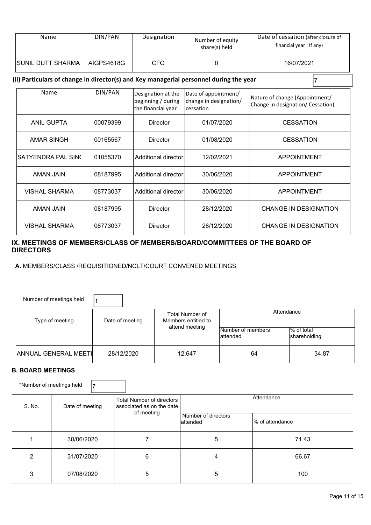| Name                                                                                   | DIN/PAN    | Designation                                                    | Number of equity<br>share(s) held                            | Date of cessation (after closure of<br>financial year : If any)     |  |
|----------------------------------------------------------------------------------------|------------|----------------------------------------------------------------|--------------------------------------------------------------|---------------------------------------------------------------------|--|
| SUNIL DUTT SHARMA                                                                      | AIGPS4618G | <b>CFO</b>                                                     | 0                                                            | 16/07/2021                                                          |  |
| (ii) Particulars of change in director(s) and Key managerial personnel during the year |            |                                                                |                                                              |                                                                     |  |
| Name                                                                                   | DIN/PAN    | Designation at the<br>beginning / during<br>the financial year | Date of appointment/<br>change in designation/<br>lcessation | Nature of change (Appointment/<br>Change in designation/ Cessation) |  |
| <b>ANIL GUPTA</b>                                                                      | 00079399   | Director                                                       | 01/07/2020                                                   | <b>CESSATION</b>                                                    |  |
| <b>AMAR SINGH</b>                                                                      | 00165567   | <b>Director</b>                                                | 01/08/2020                                                   | <b>CESSATION</b>                                                    |  |
|                                                                                        |            |                                                                |                                                              |                                                                     |  |

SATYENDRA PAL SIN( 01055370 Additional director | 12/02/2021 | APPOINTMENT

AMAN JAIN | 08187995 | Additional director | 30/06/2020 | APPOINTMENT

AMAN JAIN | 08187995 | Director | 28/12/2020 | CHANGE IN DESIGNATION

VISHAL SHARMA | 08773037 | Director | 28/12/2020 | CHANGE IN DESIGNATION

VISHAL SHARMA | 08773037 | Additional director | 30/06/2020 | APPOINTMENT

#### **IX. MEETINGS OF MEMBERS/CLASS OF MEMBERS/BOARD/COMMITTEES OF THE BOARD OF DIRECTORS**

 **A.** MEMBERS/CLASS /REQUISITIONED/NCLT/COURT CONVENED MEETINGS

| Number of meetings held      |                 |                                        |                                |                            |
|------------------------------|-----------------|----------------------------------------|--------------------------------|----------------------------|
| Type of meeting              | Date of meeting | Total Number of<br>Members entitled to | Attendance                     |                            |
|                              |                 | attend meeting                         | Number of members<br>lattended | % of total<br>shareholding |
| <b>ANNUAL GENERAL MEETIL</b> | 28/12/2020      | 12,647                                 | 64                             | 34.87                      |

#### **B. BOARD MEETINGS**

\*Number of meetings held  $\vert$ 7

| S. No. | Date of meeting | Total Number of directors<br>associated as on the date<br>of meeting | Attendance                      |                  |  |
|--------|-----------------|----------------------------------------------------------------------|---------------------------------|------------------|--|
|        |                 |                                                                      | Number of directors<br>attended | Ⅰ% of attendance |  |
|        | 30/06/2020      |                                                                      | 5                               | 71.43            |  |
| っ      | 31/07/2020      | 6                                                                    | 4                               | 66.67            |  |
| 3      | 07/08/2020      | 5                                                                    | 5                               | 100              |  |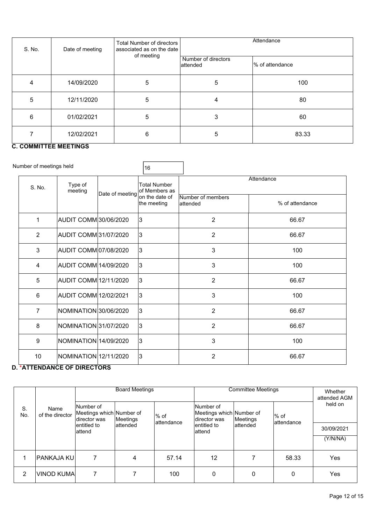| S. No. | Date of meeting | Total Number of directors<br>associated as on the date | Attendance                       |                  |  |  |
|--------|-----------------|--------------------------------------------------------|----------------------------------|------------------|--|--|
|        |                 | of meeting                                             | Number of directors<br>lattended | l% of attendance |  |  |
| 4      | 14/09/2020      | 5                                                      | $\sqrt{5}$                       | 100              |  |  |
| 5      | 12/11/2020      | 5                                                      | 4                                | 80               |  |  |
| 6      | 01/02/2021      | 5                                                      | 3                                | 60               |  |  |
|        | 12/02/2021      | 6                                                      | 5                                | 83.33            |  |  |

## **C. COMMITTEE MEETINGS**

| Number of meetings held |                              |                                | 16                                   |                                |                 |  |
|-------------------------|------------------------------|--------------------------------|--------------------------------------|--------------------------------|-----------------|--|
| S. No.                  | Type of<br>meeting           |                                | <b>Total Number</b><br>of Members as | Attendance                     |                 |  |
|                         |                              | Date of meeting on the date of | the meeting                          | Number of members<br>lattended | % of attendance |  |
| 1                       | AUDIT COMM 30/06/2020        |                                | 3                                    | $\overline{2}$                 | 66.67           |  |
| $\overline{2}$          | AUDIT COMM 31/07/2020        |                                | 3                                    | $\overline{2}$                 | 66.67           |  |
| 3                       | AUDIT COMM 07/08/2020        |                                | 3                                    | 3                              | 100             |  |
| $\overline{4}$          | AUDIT COMM 14/09/2020        |                                | 3                                    | 3                              | 100             |  |
| 5                       | AUDIT COMM 12/11/2020        |                                | 3                                    | $\overline{2}$                 | 66.67           |  |
| $6\,$                   | <b>AUDIT COMM 12/02/2021</b> |                                | 3                                    | 3                              | 100             |  |
| $\overline{7}$          | NOMINATION 30/06/2020        |                                | 3                                    | $\overline{2}$                 | 66.67           |  |
| 8                       | NOMINATION 31/07/2020        |                                | 3                                    | $\overline{2}$                 | 66.67           |  |
| $\boldsymbol{9}$        | NOMINATION 14/09/2020        |                                | 3                                    | 3                              | 100             |  |
| 10                      | NOMINATION 12/11/2020        |                                | 3                                    | $\overline{2}$                 | 66.67           |  |

## **D. \*ATTENDANCE OF DIRECTORS**

|           |                         | <b>Board Meetings</b>                                   |          |                                      | <b>Committee Meetings</b>                             |          |                       | Whether<br>attended AGM |
|-----------|-------------------------|---------------------------------------------------------|----------|--------------------------------------|-------------------------------------------------------|----------|-----------------------|-------------------------|
| S.<br>No. | Name<br>of the director | lNumber of<br>Meetings which Number of<br>Idirector was | Meetings | l% of<br>lattendance                 | Number of<br>Meetings which Number of<br>director was | Meetings | $%$ of<br>lattendance | held on                 |
|           | lentitled to<br>lattend | lattended                                               |          | lattended<br>lentitled to<br>lattend |                                                       |          | 30/09/2021            |                         |
|           |                         |                                                         |          |                                      |                                                       |          |                       | (Y/N/NA)                |
|           | <b>PANKAJA KU</b>       |                                                         | 4        | 57.14                                | 12                                                    |          | 58.33                 | Yes                     |
| 2         | VINOD KUMA              |                                                         |          | 100                                  | 0                                                     | 0        | $\Omega$              | Yes                     |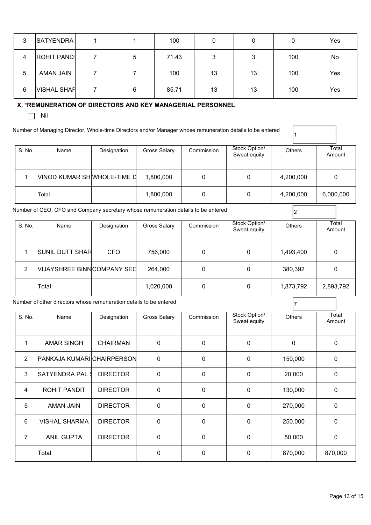| 3 | SATYENDRA          |   | 100   | 0      | 0  |     | Yes |
|---|--------------------|---|-------|--------|----|-----|-----|
| 4 | <b>ROHIT PAND</b>  | 5 | 71.43 | ົ<br>J | 3  | 100 | No  |
| 5 | AMAN JAIN          |   | 100   | 13     | 13 | 100 | Yes |
| 6 | <b>VISHAL SHAF</b> | 6 | 85.71 | 13     | 13 | 100 | Yes |

#### **X. \*REMUNERATION OF DIRECTORS AND KEY MANAGERIAL PERSONNEL**

 $\Box$  Nil

Number of Managing Director, Whole-time Directors and/or Manager whose remuneration details to be entered

| S. No. | Name                        | Designation | <b>Gross Salary</b> | Commission | Stock Option/<br>Sweat equity | <b>Others</b> | Total<br>Amount |
|--------|-----------------------------|-------------|---------------------|------------|-------------------------------|---------------|-----------------|
|        | VINOD KUMAR SH WHOLE-TIME L |             | 1,800,000           |            | 0                             | 4,200,000     | 0               |
|        | Total                       |             | 1,800,000           | 0          | 0                             | 4,200,000     | 6,000,000       |

 $\vert_1$ 

Number of CEO, CFO and Company secretary whose remuneration details to be entered <sup>2</sup>

| S. No. | Name                        | Designation | Gross Salary | Commission | Stock Option/<br>Sweat equity | Others    | Total<br>Amount |
|--------|-----------------------------|-------------|--------------|------------|-------------------------------|-----------|-----------------|
|        | <b>SUNIL DUTT SHAR</b>      | <b>CFO</b>  | 756,000      | 0          | 0                             | 1,493,400 | 0               |
| 2      | VIJAYSHREE BINN COMPANY SEC |             | 264,000      | 0          | 0                             | 380,392   | 0               |
|        | Total                       |             | 1,020,000    | 0          | 0                             | 1,873,792 | 2,893,792       |

Number of other directors whose remuneration details to be entered  $\begin{bmatrix} 7 \end{bmatrix}$ 

| S. No. | Name                       | Designation     | <b>Gross Salary</b> | Commission   | Stock Option/<br>Sweat equity | <b>Others</b> | Total<br>Amount |
|--------|----------------------------|-----------------|---------------------|--------------|-------------------------------|---------------|-----------------|
|        |                            |                 |                     |              |                               |               |                 |
| 1      | <b>AMAR SINGH</b>          | <b>CHAIRMAN</b> | $\mathbf{0}$        | $\mathbf{0}$ | 0                             | $\Omega$      | 0               |
| 2      | PANKAJA KUMARI CHAIRPERSON |                 | $\Omega$            | $\mathbf{0}$ | 0                             | 150,000       | 0               |
| 3      |                            | <b>DIRECTOR</b> | $\Omega$            | 0            | 0                             | 20,000        | 0               |
| 4      | <b>ROHIT PANDIT</b>        | <b>DIRECTOR</b> | 0                   | 0            | 0                             | 130,000       | 0               |
| 5      | AMAN JAIN                  | <b>DIRECTOR</b> | 0                   | 0            | 0                             | 270,000       | 0               |
| 6      | <b>VISHAL SHARMA</b>       | <b>DIRECTOR</b> | 0                   | 0            | 0                             | 250,000       | 0               |
| 7      | <b>ANIL GUPTA</b>          | <b>DIRECTOR</b> | $\Omega$            | $\mathbf{0}$ | 0                             | 50,000        | 0               |
|        | Total                      |                 | $\Omega$            | $\mathbf{0}$ | 0                             | 870,000       | 870,000         |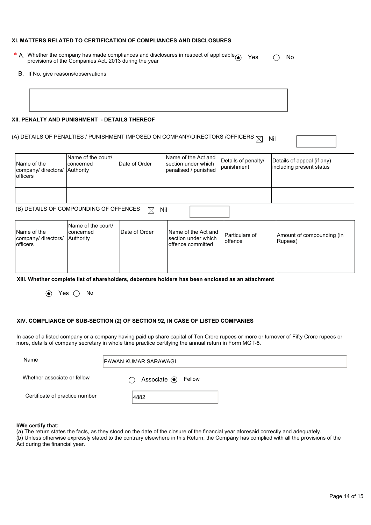#### **XI. MATTERS RELATED TO CERTIFICATION OF COMPLIANCES AND DISCLOSURES**

- \* A. Whether the company has made compliances and disclosures in respect of applicable  $\bigcirc$  Yes  $\bigcirc$  No<br>provisions of the Companies Act, 2013 during the year
	- B. If No, give reasons/observations

#### **XII. PENALTY AND PUNISHMENT - DETAILS THEREOF**

## (A) DETAILS OF PENALTIES / PUNISHMENT IMPOSED ON COMPANY/DIRECTORS /OFFICERS  $\boxtimes$  Nil

| Name of the<br>company/ directors/<br>lofficers | Name of the court/<br>Iconcerned<br>Authority | Date of Order | Name of the Act and<br>section under which<br>penalised / punished | Details of penalty/<br>punishment | Details of appeal (if any)<br>including present status |
|-------------------------------------------------|-----------------------------------------------|---------------|--------------------------------------------------------------------|-----------------------------------|--------------------------------------------------------|
|                                                 |                                               |               |                                                                    |                                   |                                                        |
|                                                 | (B) DETAILS OF COMPOUNDING OF OFFENCES        | Nil<br>M      |                                                                    |                                   |                                                        |

| Name of the<br>company/ directors/<br>lofficers | Name of the court/<br>Iconcerned<br>Authority | Date of Order | Name of the Act and<br>Isection under which<br>offence committed | <b>Particulars of</b><br>loffence | Amount of compounding (in<br>Rupees) |
|-------------------------------------------------|-----------------------------------------------|---------------|------------------------------------------------------------------|-----------------------------------|--------------------------------------|
|                                                 |                                               |               |                                                                  |                                   |                                      |

**XIII. Whether complete list of shareholders, debenture holders has been enclosed as an attachment** 

 $\odot$  Yes  $\odot$  No

#### **XIV. COMPLIANCE OF SUB-SECTION (2) OF SECTION 92, IN CASE OF LISTED COMPANIES**

In case of a listed company or a company having paid up share capital of Ten Crore rupees or more or turnover of Fifty Crore rupees or more, details of company secretary in whole time practice certifying the annual return in Form MGT-8.

| Name                           | IPAWAN KUMAR SARAWAGI         |  |  |
|--------------------------------|-------------------------------|--|--|
| Whether associate or fellow    | Associate <sup>O</sup> Fellow |  |  |
| Certificate of practice number | 4882                          |  |  |

#### **I/We certify that:**

(a) The return states the facts, as they stood on the date of the closure of the financial year aforesaid correctly and adequately. (b) Unless otherwise expressly stated to the contrary elsewhere in this Return, the Company has complied with all the provisions of the Act during the financial year.